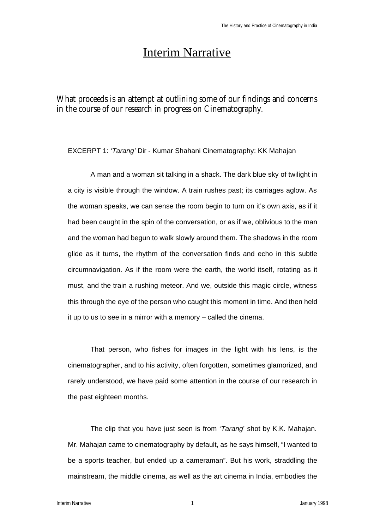# Interim Narrative

What proceeds is an attempt at outlining some of our findings and concerns in the course of our research in progress on Cinematography.

EXCERPT 1: '*Tarang'* Dir - Kumar Shahani Cinematography: KK Mahajan

A man and a woman sit talking in a shack. The dark blue sky of twilight in a city is visible through the window. A train rushes past; its carriages aglow. As the woman speaks, we can sense the room begin to turn on it's own axis, as if it had been caught in the spin of the conversation, or as if we, oblivious to the man and the woman had begun to walk slowly around them. The shadows in the room glide as it turns, the rhythm of the conversation finds and echo in this subtle circumnavigation. As if the room were the earth, the world itself, rotating as it must, and the train a rushing meteor. And we, outside this magic circle, witness this through the eye of the person who caught this moment in time. And then held it up to us to see in a mirror with a memory – called the cinema.

That person, who fishes for images in the light with his lens, is the cinematographer, and to his activity, often forgotten, sometimes glamorized, and rarely understood, we have paid some attention in the course of our research in the past eighteen months.

The clip that you have just seen is from '*Tarang*' shot by K.K. Mahajan. Mr. Mahajan came to cinematography by default, as he says himself, "I wanted to be a sports teacher, but ended up a cameraman". But his work, straddling the mainstream, the middle cinema, as well as the art cinema in India, embodies the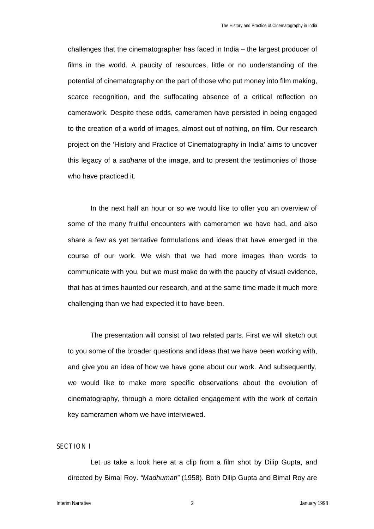challenges that the cinematographer has faced in India – the largest producer of films in the world. A paucity of resources, little or no understanding of the potential of cinematography on the part of those who put money into film making, scarce recognition, and the suffocating absence of a critical reflection on camerawork. Despite these odds, cameramen have persisted in being engaged to the creation of a world of images, almost out of nothing, on film. Our research project on the 'History and Practice of Cinematography in India' aims to uncover this legacy of a *sadhana* of the image, and to present the testimonies of those who have practiced it.

In the next half an hour or so we would like to offer you an overview of some of the many fruitful encounters with cameramen we have had, and also share a few as yet tentative formulations and ideas that have emerged in the course of our work. We wish that we had more images than words to communicate with you, but we must make do with the paucity of visual evidence, that has at times haunted our research, and at the same time made it much more challenging than we had expected it to have been.

The presentation will consist of two related parts. First we will sketch out to you some of the broader questions and ideas that we have been working with, and give you an idea of how we have gone about our work. And subsequently, we would like to make more specific observations about the evolution of cinematography, through a more detailed engagement with the work of certain key cameramen whom we have interviewed.

#### **SECTION I**

Let us take a look here at a clip from a film shot by Dilip Gupta, and directed by Bimal Roy. *"Madhumati"* (1958). Both Dilip Gupta and Bimal Roy are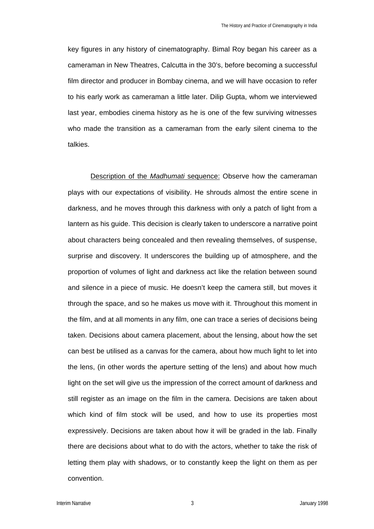key figures in any history of cinematography. Bimal Roy began his career as a cameraman in New Theatres, Calcutta in the 30's, before becoming a successful film director and producer in Bombay cinema, and we will have occasion to refer to his early work as cameraman a little later. Dilip Gupta, whom we interviewed last year, embodies cinema history as he is one of the few surviving witnesses who made the transition as a cameraman from the early silent cinema to the talkies.

Description of the *Madhumati* sequence: Observe how the cameraman plays with our expectations of visibility. He shrouds almost the entire scene in darkness, and he moves through this darkness with only a patch of light from a lantern as his guide. This decision is clearly taken to underscore a narrative point about characters being concealed and then revealing themselves, of suspense, surprise and discovery. It underscores the building up of atmosphere, and the proportion of volumes of light and darkness act like the relation between sound and silence in a piece of music. He doesn't keep the camera still, but moves it through the space, and so he makes us move with it. Throughout this moment in the film, and at all moments in any film, one can trace a series of decisions being taken. Decisions about camera placement, about the lensing, about how the set can best be utilised as a canvas for the camera, about how much light to let into the lens, (in other words the aperture setting of the lens) and about how much light on the set will give us the impression of the correct amount of darkness and still register as an image on the film in the camera. Decisions are taken about which kind of film stock will be used, and how to use its properties most expressively. Decisions are taken about how it will be graded in the lab. Finally there are decisions about what to do with the actors, whether to take the risk of letting them play with shadows, or to constantly keep the light on them as per convention.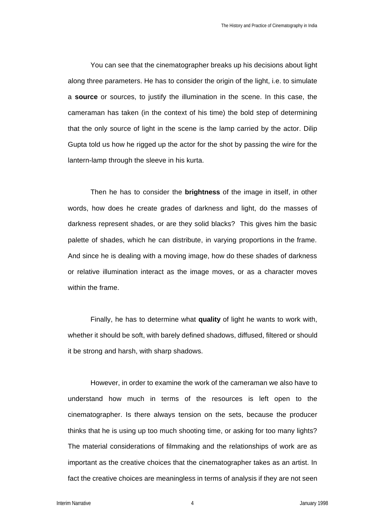You can see that the cinematographer breaks up his decisions about light along three parameters. He has to consider the origin of the light, i.e. to simulate a **source** or sources, to justify the illumination in the scene. In this case, the cameraman has taken (in the context of his time) the bold step of determining that the only source of light in the scene is the lamp carried by the actor. Dilip Gupta told us how he rigged up the actor for the shot by passing the wire for the lantern-lamp through the sleeve in his kurta.

Then he has to consider the **brightness** of the image in itself, in other words, how does he create grades of darkness and light, do the masses of darkness represent shades, or are they solid blacks? This gives him the basic palette of shades, which he can distribute, in varying proportions in the frame. And since he is dealing with a moving image, how do these shades of darkness or relative illumination interact as the image moves, or as a character moves within the frame.

Finally, he has to determine what **quality** of light he wants to work with, whether it should be soft, with barely defined shadows, diffused, filtered or should it be strong and harsh, with sharp shadows.

However, in order to examine the work of the cameraman we also have to understand how much in terms of the resources is left open to the cinematographer. Is there always tension on the sets, because the producer thinks that he is using up too much shooting time, or asking for too many lights? The material considerations of filmmaking and the relationships of work are as important as the creative choices that the cinematographer takes as an artist. In fact the creative choices are meaningless in terms of analysis if they are not seen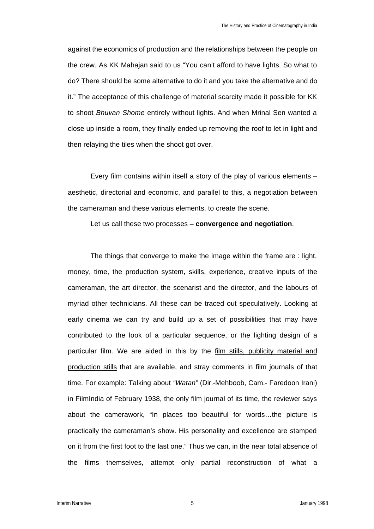against the economics of production and the relationships between the people on the crew. As KK Mahajan said to us "You can't afford to have lights. So what to do? There should be some alternative to do it and you take the alternative and do it." The acceptance of this challenge of material scarcity made it possible for KK to shoot *Bhuvan Shome* entirely without lights. And when Mrinal Sen wanted a close up inside a room, they finally ended up removing the roof to let in light and then relaying the tiles when the shoot got over.

Every film contains within itself a story of the play of various elements – aesthetic, directorial and economic, and parallel to this, a negotiation between the cameraman and these various elements, to create the scene.

Let us call these two processes – **convergence and negotiation**.

The things that converge to make the image within the frame are : light, money, time, the production system, skills, experience, creative inputs of the cameraman, the art director, the scenarist and the director, and the labours of myriad other technicians. All these can be traced out speculatively. Looking at early cinema we can try and build up a set of possibilities that may have contributed to the look of a particular sequence, or the lighting design of a particular film. We are aided in this by the film stills, publicity material and production stills that are available, and stray comments in film journals of that time. For example: Talking about *"Watan"* (Dir.-Mehboob, Cam.- Faredoon Irani) in FilmIndia of February 1938, the only film journal of its time, the reviewer says about the camerawork, "In places too beautiful for words…the picture is practically the cameraman's show. His personality and excellence are stamped on it from the first foot to the last one." Thus we can, in the near total absence of the films themselves, attempt only partial reconstruction of what a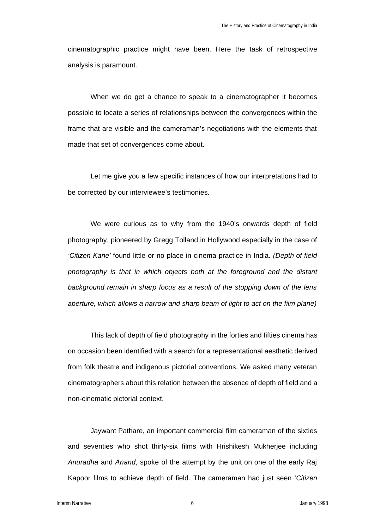cinematographic practice might have been. Here the task of retrospective analysis is paramount.

When we do get a chance to speak to a cinematographer it becomes possible to locate a series of relationships between the convergences within the frame that are visible and the cameraman's negotiations with the elements that made that set of convergences come about.

Let me give you a few specific instances of how our interpretations had to be corrected by our interviewee's testimonies.

We were curious as to why from the 1940's onwards depth of field photography, pioneered by Gregg Tolland in Hollywood especially in the case of *'Citizen Kane'* found little or no place in cinema practice in India. *(Depth of field photography is that in which objects both at the foreground and the distant background remain in sharp focus as a result of the stopping down of the lens aperture, which allows a narrow and sharp beam of light to act on the film plane)*

This lack of depth of field photography in the forties and fifties cinema has on occasion been identified with a search for a representational aesthetic derived from folk theatre and indigenous pictorial conventions. We asked many veteran cinematographers about this relation between the absence of depth of field and a non-cinematic pictorial context.

Jaywant Pathare, an important commercial film cameraman of the sixties and seventies who shot thirty-six films with Hrishikesh Mukherjee including *Anuradha* and *Anand*, spoke of the attempt by the unit on one of the early Raj Kapoor films to achieve depth of field. The cameraman had just seen '*Citizen*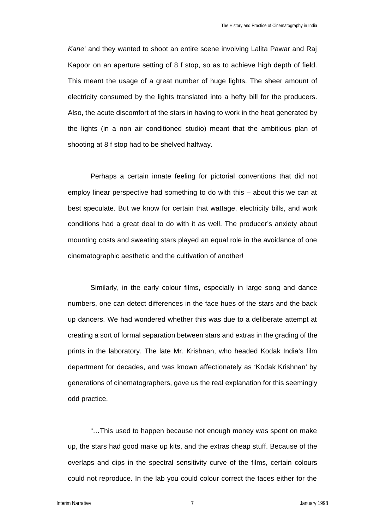*Kane*' and they wanted to shoot an entire scene involving Lalita Pawar and Raj Kapoor on an aperture setting of 8 f stop, so as to achieve high depth of field. This meant the usage of a great number of huge lights. The sheer amount of electricity consumed by the lights translated into a hefty bill for the producers. Also, the acute discomfort of the stars in having to work in the heat generated by the lights (in a non air conditioned studio) meant that the ambitious plan of shooting at 8 f stop had to be shelved halfway.

Perhaps a certain innate feeling for pictorial conventions that did not employ linear perspective had something to do with this – about this we can at best speculate. But we know for certain that wattage, electricity bills, and work conditions had a great deal to do with it as well. The producer's anxiety about mounting costs and sweating stars played an equal role in the avoidance of one cinematographic aesthetic and the cultivation of another!

Similarly, in the early colour films, especially in large song and dance numbers, one can detect differences in the face hues of the stars and the back up dancers. We had wondered whether this was due to a deliberate attempt at creating a sort of formal separation between stars and extras in the grading of the prints in the laboratory. The late Mr. Krishnan, who headed Kodak India's film department for decades, and was known affectionately as 'Kodak Krishnan' by generations of cinematographers, gave us the real explanation for this seemingly odd practice.

"…This used to happen because not enough money was spent on make up, the stars had good make up kits, and the extras cheap stuff. Because of the overlaps and dips in the spectral sensitivity curve of the films, certain colours could not reproduce. In the lab you could colour correct the faces either for the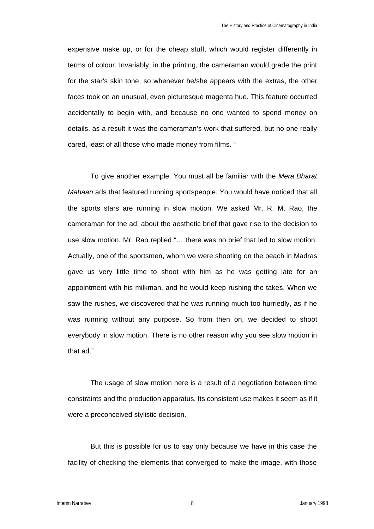expensive make up, or for the cheap stuff, which would register differently in terms of colour. Invariably, in the printing, the cameraman would grade the print for the star's skin tone, so whenever he/she appears with the extras, the other faces took on an unusual, even picturesque magenta hue. This feature occurred accidentally to begin with, and because no one wanted to spend money on details, as a result it was the cameraman's work that suffered, but no one really cared, least of all those who made money from films. "

To give another example. You must all be familiar with the *Mera Bharat Mahaan* ads that featured running sportspeople. You would have noticed that all the sports stars are running in slow motion. We asked Mr. R. M. Rao, the cameraman for the ad, about the aesthetic brief that gave rise to the decision to use slow motion. Mr. Rao replied "… there was no brief that led to slow motion. Actually, one of the sportsmen, whom we were shooting on the beach in Madras gave us very little time to shoot with him as he was getting late for an appointment with his milkman, and he would keep rushing the takes. When we saw the rushes, we discovered that he was running much too hurriedly, as if he was running without any purpose. So from then on, we decided to shoot everybody in slow motion. There is no other reason why you see slow motion in that ad."

The usage of slow motion here is a result of a negotiation between time constraints and the production apparatus. Its consistent use makes it seem as if it were a preconceived stylistic decision.

But this is possible for us to say only because we have in this case the facility of checking the elements that converged to make the image, with those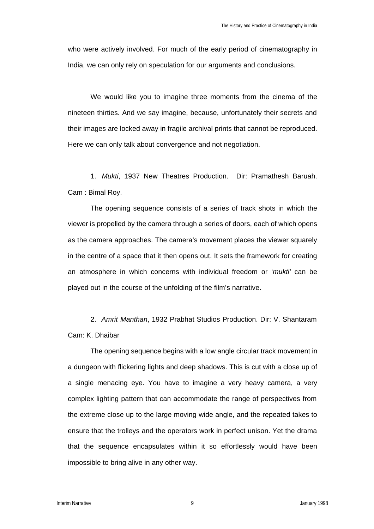who were actively involved. For much of the early period of cinematography in India, we can only rely on speculation for our arguments and conclusions.

We would like you to imagine three moments from the cinema of the nineteen thirties. And we say imagine, because, unfortunately their secrets and their images are locked away in fragile archival prints that cannot be reproduced. Here we can only talk about convergence and not negotiation.

1. *Mukti*, 1937 New Theatres Production. Dir: Pramathesh Baruah. Cam : Bimal Roy.

The opening sequence consists of a series of track shots in which the viewer is propelled by the camera through a series of doors, each of which opens as the camera approaches. The camera's movement places the viewer squarely in the centre of a space that it then opens out. It sets the framework for creating an atmosphere in which concerns with individual freedom or '*mukti'* can be played out in the course of the unfolding of the film's narrative.

2. *Amrit Manthan*, 1932 Prabhat Studios Production. Dir: V. Shantaram Cam: K. Dhaibar

The opening sequence begins with a low angle circular track movement in a dungeon with flickering lights and deep shadows. This is cut with a close up of a single menacing eye. You have to imagine a very heavy camera, a very complex lighting pattern that can accommodate the range of perspectives from the extreme close up to the large moving wide angle, and the repeated takes to ensure that the trolleys and the operators work in perfect unison. Yet the drama that the sequence encapsulates within it so effortlessly would have been impossible to bring alive in any other way.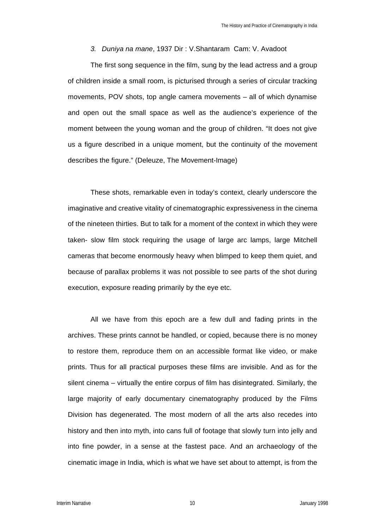#### *3. Duniya na mane*, 1937 Dir : V.Shantaram Cam: V. Avadoot

The first song sequence in the film, sung by the lead actress and a group of children inside a small room, is picturised through a series of circular tracking movements, POV shots, top angle camera movements – all of which dynamise and open out the small space as well as the audience's experience of the moment between the young woman and the group of children. "It does not give us a figure described in a unique moment, but the continuity of the movement describes the figure." (Deleuze, The Movement-Image)

These shots, remarkable even in today's context, clearly underscore the imaginative and creative vitality of cinematographic expressiveness in the cinema of the nineteen thirties. But to talk for a moment of the context in which they were taken- slow film stock requiring the usage of large arc lamps, large Mitchell cameras that become enormously heavy when blimped to keep them quiet, and because of parallax problems it was not possible to see parts of the shot during execution, exposure reading primarily by the eye etc.

All we have from this epoch are a few dull and fading prints in the archives. These prints cannot be handled, or copied, because there is no money to restore them, reproduce them on an accessible format like video, or make prints. Thus for all practical purposes these films are invisible. And as for the silent cinema – virtually the entire corpus of film has disintegrated. Similarly, the large majority of early documentary cinematography produced by the Films Division has degenerated. The most modern of all the arts also recedes into history and then into myth, into cans full of footage that slowly turn into jelly and into fine powder, in a sense at the fastest pace. And an archaeology of the cinematic image in India, which is what we have set about to attempt, is from the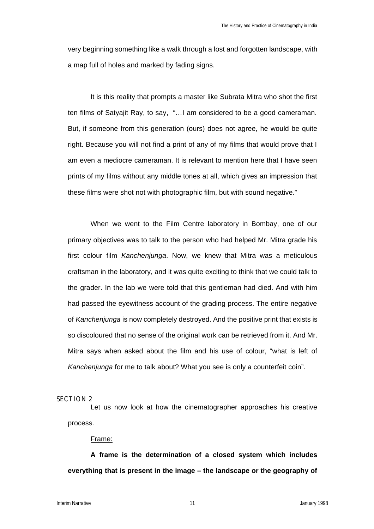very beginning something like a walk through a lost and forgotten landscape, with a map full of holes and marked by fading signs.

It is this reality that prompts a master like Subrata Mitra who shot the first ten films of Satyajit Ray, to say, "…I am considered to be a good cameraman. But, if someone from this generation (ours) does not agree, he would be quite right. Because you will not find a print of any of my films that would prove that I am even a mediocre cameraman. It is relevant to mention here that I have seen prints of my films without any middle tones at all, which gives an impression that these films were shot not with photographic film, but with sound negative."

When we went to the Film Centre laboratory in Bombay, one of our primary objectives was to talk to the person who had helped Mr. Mitra grade his first colour film *Kanchenjunga*. Now, we knew that Mitra was a meticulous craftsman in the laboratory, and it was quite exciting to think that we could talk to the grader. In the lab we were told that this gentleman had died. And with him had passed the eyewitness account of the grading process. The entire negative of *Kanchenjunga* is now completely destroyed. And the positive print that exists is so discoloured that no sense of the original work can be retrieved from it. And Mr. Mitra says when asked about the film and his use of colour, "what is left of *Kanchenjunga* for me to talk about? What you see is only a counterfeit coin".

#### **SECTION 2**

Let us now look at how the cinematographer approaches his creative process.

### Frame:

**A frame is the determination of a closed system which includes everything that is present in the image – the landscape or the geography of**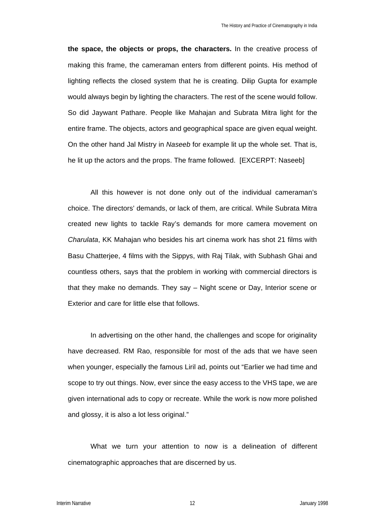**the space, the objects or props, the characters.** In the creative process of making this frame, the cameraman enters from different points. His method of lighting reflects the closed system that he is creating. Dilip Gupta for example would always begin by lighting the characters. The rest of the scene would follow. So did Jaywant Pathare. People like Mahajan and Subrata Mitra light for the entire frame. The objects, actors and geographical space are given equal weight. On the other hand Jal Mistry in *Naseeb* for example lit up the whole set. That is, he lit up the actors and the props. The frame followed. [EXCERPT: Naseeb]

All this however is not done only out of the individual cameraman's choice. The directors' demands, or lack of them, are critical. While Subrata Mitra created new lights to tackle Ray's demands for more camera movement on *Charulata*, KK Mahajan who besides his art cinema work has shot 21 films with Basu Chatterjee, 4 films with the Sippys, with Raj Tilak, with Subhash Ghai and countless others, says that the problem in working with commercial directors is that they make no demands. They say – Night scene or Day, Interior scene or Exterior and care for little else that follows.

In advertising on the other hand, the challenges and scope for originality have decreased. RM Rao, responsible for most of the ads that we have seen when younger, especially the famous Liril ad, points out "Earlier we had time and scope to try out things. Now, ever since the easy access to the VHS tape, we are given international ads to copy or recreate. While the work is now more polished and glossy, it is also a lot less original."

What we turn your attention to now is a delineation of different cinematographic approaches that are discerned by us.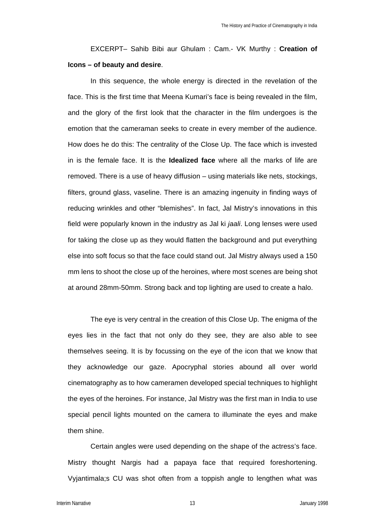EXCERPT– Sahib Bibi aur Ghulam : Cam.- VK Murthy : **Creation of Icons – of beauty and desire**.

In this sequence, the whole energy is directed in the revelation of the face. This is the first time that Meena Kumari's face is being revealed in the film, and the glory of the first look that the character in the film undergoes is the emotion that the cameraman seeks to create in every member of the audience. How does he do this: The centrality of the Close Up. The face which is invested in is the female face. It is the **Idealized face** where all the marks of life are removed. There is a use of heavy diffusion – using materials like nets, stockings, filters, ground glass, vaseline. There is an amazing ingenuity in finding ways of reducing wrinkles and other "blemishes". In fact, Jal Mistry's innovations in this field were popularly known in the industry as Jal ki *jaali*. Long lenses were used for taking the close up as they would flatten the background and put everything else into soft focus so that the face could stand out. Jal Mistry always used a 150 mm lens to shoot the close up of the heroines, where most scenes are being shot at around 28mm-50mm. Strong back and top lighting are used to create a halo.

The eye is very central in the creation of this Close Up. The enigma of the eyes lies in the fact that not only do they see, they are also able to see themselves seeing. It is by focussing on the eye of the icon that we know that they acknowledge our gaze. Apocryphal stories abound all over world cinematography as to how cameramen developed special techniques to highlight the eyes of the heroines. For instance, Jal Mistry was the first man in India to use special pencil lights mounted on the camera to illuminate the eyes and make them shine.

Certain angles were used depending on the shape of the actress's face. Mistry thought Nargis had a papaya face that required foreshortening. Vyjantimala;s CU was shot often from a toppish angle to lengthen what was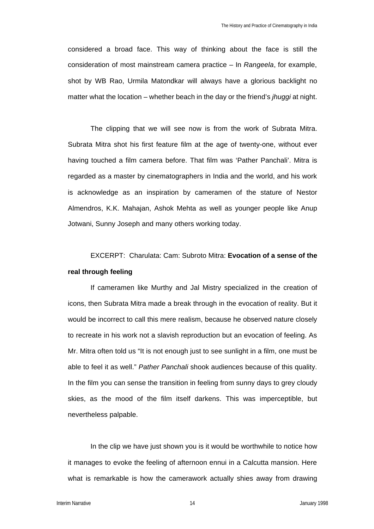considered a broad face. This way of thinking about the face is still the consideration of most mainstream camera practice – In *Rangeela*, for example, shot by WB Rao, Urmila Matondkar will always have a glorious backlight no matter what the location – whether beach in the day or the friend's *jhuggi* at night.

The clipping that we will see now is from the work of Subrata Mitra. Subrata Mitra shot his first feature film at the age of twenty-one, without ever having touched a film camera before. That film was 'Pather Panchali'. Mitra is regarded as a master by cinematographers in India and the world, and his work is acknowledge as an inspiration by cameramen of the stature of Nestor Almendros, K.K. Mahajan, Ashok Mehta as well as younger people like Anup Jotwani, Sunny Joseph and many others working today.

## EXCERPT: Charulata: Cam: Subroto Mitra: **Evocation of a sense of the real through feeling**

If cameramen like Murthy and Jal Mistry specialized in the creation of icons, then Subrata Mitra made a break through in the evocation of reality. But it would be incorrect to call this mere realism, because he observed nature closely to recreate in his work not a slavish reproduction but an evocation of feeling. As Mr. Mitra often told us "It is not enough just to see sunlight in a film, one must be able to feel it as well." *Pather Panchali* shook audiences because of this quality. In the film you can sense the transition in feeling from sunny days to grey cloudy skies, as the mood of the film itself darkens. This was imperceptible, but nevertheless palpable.

In the clip we have just shown you is it would be worthwhile to notice how it manages to evoke the feeling of afternoon ennui in a Calcutta mansion. Here what is remarkable is how the camerawork actually shies away from drawing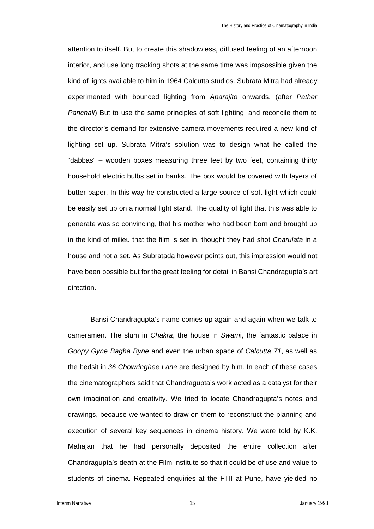attention to itself. But to create this shadowless, diffused feeling of an afternoon interior, and use long tracking shots at the same time was impsossible given the kind of lights available to him in 1964 Calcutta studios. Subrata Mitra had already experimented with bounced lighting from *Aparajito* onwards. (after *Pather Panchali*) But to use the same principles of soft lighting, and reconcile them to the director's demand for extensive camera movements required a new kind of lighting set up. Subrata Mitra's solution was to design what he called the "dabbas" – wooden boxes measuring three feet by two feet, containing thirty household electric bulbs set in banks. The box would be covered with layers of butter paper. In this way he constructed a large source of soft light which could be easily set up on a normal light stand. The quality of light that this was able to generate was so convincing, that his mother who had been born and brought up in the kind of milieu that the film is set in, thought they had shot *Charulata* in a house and not a set. As Subratada however points out, this impression would not have been possible but for the great feeling for detail in Bansi Chandragupta's art direction.

Bansi Chandragupta's name comes up again and again when we talk to cameramen. The slum in *Chakra*, the house in *Swam*i, the fantastic palace in *Goopy Gyne Bagha Byne* and even the urban space of *Calcutta 71*, as well as the bedsit in *36 Chowringhee Lane* are designed by him. In each of these cases the cinematographers said that Chandragupta's work acted as a catalyst for their own imagination and creativity. We tried to locate Chandragupta's notes and drawings, because we wanted to draw on them to reconstruct the planning and execution of several key sequences in cinema history. We were told by K.K. Mahajan that he had personally deposited the entire collection after Chandragupta's death at the Film Institute so that it could be of use and value to students of cinema. Repeated enquiries at the FTII at Pune, have yielded no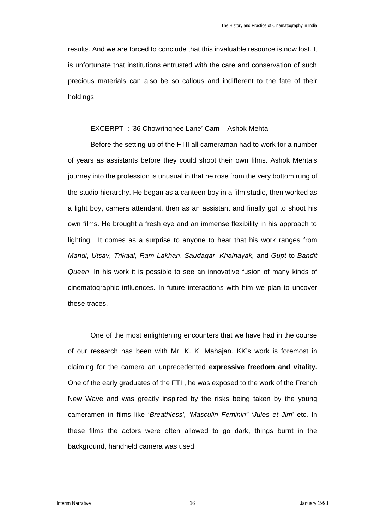results. And we are forced to conclude that this invaluable resource is now lost. It is unfortunate that institutions entrusted with the care and conservation of such precious materials can also be so callous and indifferent to the fate of their holdings.

### EXCERPT : '36 Chowringhee Lane' Cam – Ashok Mehta

Before the setting up of the FTII all cameraman had to work for a number of years as assistants before they could shoot their own films. Ashok Mehta's journey into the profession is unusual in that he rose from the very bottom rung of the studio hierarchy. He began as a canteen boy in a film studio, then worked as a light boy, camera attendant, then as an assistant and finally got to shoot his own films. He brought a fresh eye and an immense flexibility in his approach to lighting. It comes as a surprise to anyone to hear that his work ranges from *Mandi, Utsav, Trikaal, Ram Lakhan*, *Saudagar*, *Khalnayak,* and *Gupt* to *Bandit Queen*. In his work it is possible to see an innovative fusion of many kinds of cinematographic influences. In future interactions with him we plan to uncover these traces.

One of the most enlightening encounters that we have had in the course of our research has been with Mr. K. K. Mahajan. KK's work is foremost in claiming for the camera an unprecedented **expressive freedom and vitality.** One of the early graduates of the FTII, he was exposed to the work of the French New Wave and was greatly inspired by the risks being taken by the young cameramen in films like '*Breathless', 'Masculin Feminin" 'Jules et Jim*' etc. In these films the actors were often allowed to go dark, things burnt in the background, handheld camera was used.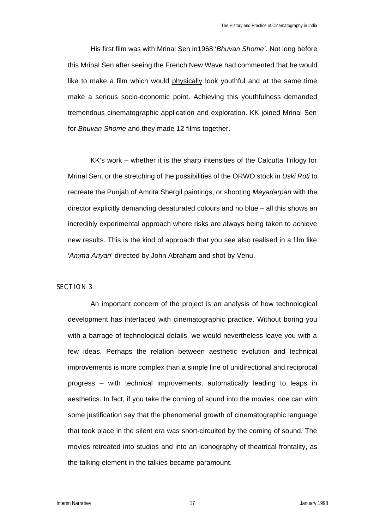His first film was with Mrinal Sen in1968 '*Bhuvan Shome'*. Not long before this Mrinal Sen after seeing the French New Wave had commented that he would like to make a film which would physically look youthful and at the same time make a serious socio-economic point. Achieving this youthfulness demanded tremendous cinematographic application and exploration. KK joined Mrinal Sen for *Bhuvan Shome* and they made 12 films together.

KK's work – whether it is the sharp intensities of the Calcutta Trilogy for Mrinal Sen, or the stretching of the possibilities of the ORWO stock in *Uski Roti* to recreate the Punjab of Amrita Shergil paintings, or shooting *Mayadarpan* with the director explicitly demanding desaturated colours and no blue – all this shows an incredibly experimental approach where risks are always being taken to achieve new results. This is the kind of approach that you see also realised in a film like '*Amma Ariyan*' directed by John Abraham and shot by Venu.

## **SECTION 3**

An important concern of the project is an analysis of how technological development has interfaced with cinematographic practice. Without boring you with a barrage of technological details, we would nevertheless leave you with a few ideas. Perhaps the relation between aesthetic evolution and technical improvements is more complex than a simple line of unidirectional and reciprocal progress – with technical improvements, automatically leading to leaps in aesthetics. In fact, if you take the coming of sound into the movies, one can with some justification say that the phenomenal growth of cinematographic language that took place in the silent era was short-circuited by the coming of sound. The movies retreated into studios and into an iconography of theatrical frontality, as the talking element in the talkies became paramount.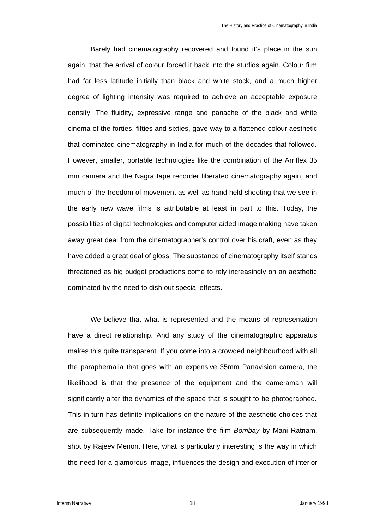Barely had cinematography recovered and found it's place in the sun again, that the arrival of colour forced it back into the studios again. Colour film had far less latitude initially than black and white stock, and a much higher degree of lighting intensity was required to achieve an acceptable exposure density. The fluidity, expressive range and panache of the black and white cinema of the forties, fifties and sixties, gave way to a flattened colour aesthetic that dominated cinematography in India for much of the decades that followed. However, smaller, portable technologies like the combination of the Arriflex 35 mm camera and the Nagra tape recorder liberated cinematography again, and much of the freedom of movement as well as hand held shooting that we see in the early new wave films is attributable at least in part to this. Today, the possibilities of digital technologies and computer aided image making have taken away great deal from the cinematographer's control over his craft, even as they have added a great deal of gloss. The substance of cinematography itself stands threatened as big budget productions come to rely increasingly on an aesthetic dominated by the need to dish out special effects.

We believe that what is represented and the means of representation have a direct relationship. And any study of the cinematographic apparatus makes this quite transparent. If you come into a crowded neighbourhood with all the paraphernalia that goes with an expensive 35mm Panavision camera, the likelihood is that the presence of the equipment and the cameraman will significantly alter the dynamics of the space that is sought to be photographed. This in turn has definite implications on the nature of the aesthetic choices that are subsequently made. Take for instance the film *Bombay* by Mani Ratnam, shot by Rajeev Menon. Here, what is particularly interesting is the way in which the need for a glamorous image, influences the design and execution of interior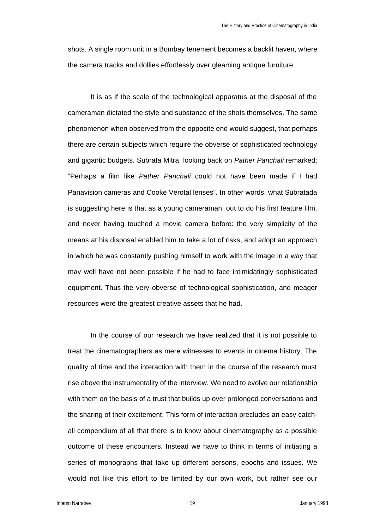shots. A single room unit in a Bombay tenement becomes a backlit haven, where the camera tracks and dollies effortlessly over gleaming antique furniture.

It is as if the scale of the technological apparatus at the disposal of the cameraman dictated the style and substance of the shots themselves. The same phenomenon when observed from the opposite end would suggest, that perhaps there are certain subjects which require the obverse of sophisticated technology and gigantic budgets. Subrata Mitra, looking back on *Pather Panchali* remarked; "Perhaps a film like *Pather Panchali* could not have been made if I had Panavision cameras and Cooke Verotal lenses". In other words, what Subratada is suggesting here is that as a young cameraman, out to do his first feature film, and never having touched a movie camera before: the very simplicity of the means at his disposal enabled him to take a lot of risks, and adopt an approach in which he was constantly pushing himself to work with the image in a way that may well have not been possible if he had to face intimidatingly sophisticated equipment. Thus the very obverse of technological sophistication, and meager resources were the greatest creative assets that he had.

In the course of our research we have realized that it is not possible to treat the cinematographers as mere witnesses to events in cinema history. The quality of time and the interaction with them in the course of the research must rise above the instrumentality of the interview. We need to evolve our relationship with them on the basis of a trust that builds up over prolonged conversations and the sharing of their excitement. This form of interaction precludes an easy catchall compendium of all that there is to know about cinematography as a possible outcome of these encounters. Instead we have to think in terms of initiating a series of monographs that take up different persons, epochs and issues. We would not like this effort to be limited by our own work, but rather see our